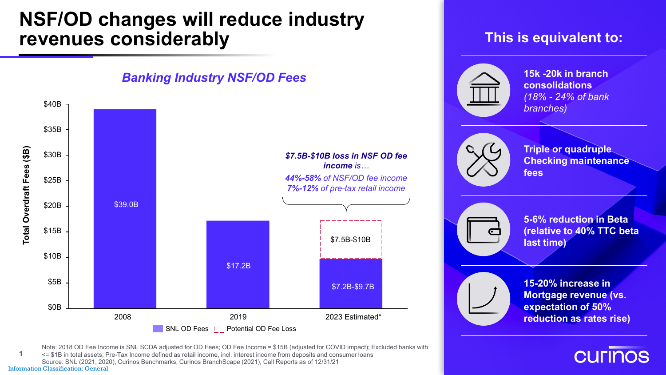## **NSF/OD changes will reduce industry revenues considerably This is equivalent to:**

### **15k -20k in branch**  *Banking Industry NSF/OD Fees***consolidations** *(18% - 24% of bank*  \$40B *branches)* \$35B **Triple or quadruple**  Total Overdraft Fees (\$B) **Total Overdraft Fees (\$B)** \$30B *\$7.5B-\$10B loss in NSF OD fee*  **Checking maintenance**  *income is…* **fees** *44%-58% of NSF/OD fee income* \$25B *7%-12% of pre-tax retail income* \$39.0B \$20B **5-6% reduction in Beta (relative to 40% TTC beta**  \$15B \$7.5B-\$10B **last time)** \$10B \$17.2B \$5B **15-20% increase in**  \$7.2B-\$9.7B **Mortgage revenue (vs. expectation of 50%**  \$0B 2008 2019 2023 Estimated\* **reduction as rates rise)**  $\overline{\phantom{a}}$  SNL OD Fees  $\overline{\phantom{a}}$  Potential OD Fee Loss

Information Classification: General Note: 2018 OD Fee Income is SNL SCDA adjusted for OD Fees; OD Fee Income = \$15B (adjusted for COVID impact); Excluded banks with <= \$1B in total assets; Pre-Tax Income defined as retail income, incl. interest income from deposits and consumer loans Source: SNL (2021, 2020), Curinos Benchmarks, Curinos BranchScape (2021), Call Reports as of 12/31/21 **1**

**CULINOS**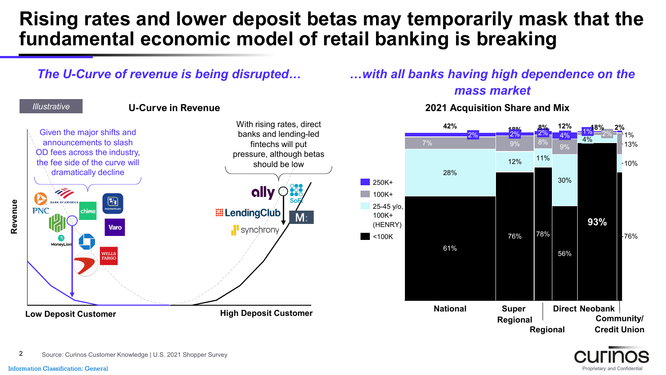# **Rising rates and lower deposit betas may temporarily mask that the fundamental economic model of retail banking is breaking**